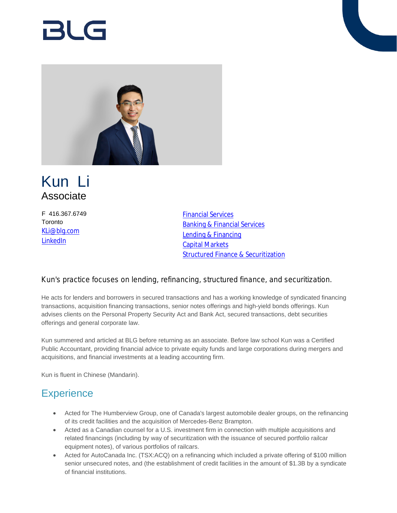# RI G



## Kun Li Associate

F 416.367.6749 **Toronto** [KLi@blg.com](mailto:KLi@blg.com) [LinkedIn](https://www.linkedin.com/in/kunlicanada/)

[Financial Services](https://www.blg.com/en/services/industries/financial-services) [Banking & Financial Services](https://www.blg.com/en/services/practice-areas/banking-financial-services) [Lending & Financing](https://www.blg.com/en/services/practice-areas/banking-financial-services/lending-financing) [Capital Markets](https://www.blg.com/en/services/practice-areas/capital-markets) [Structured Finance & Securitization](https://www.blg.com/en/services/practice-areas/banking-financial-services/structured-finance-securitization)

#### Kun's practice focuses on lending, refinancing, structured finance, and securitization.

He acts for lenders and borrowers in secured transactions and has a working knowledge of syndicated financing transactions, acquisition financing transactions, senior notes offerings and high-yield bonds offerings. Kun advises clients on the Personal Property Security Act and Bank Act, secured transactions, debt securities offerings and general corporate law.

Kun summered and articled at BLG before returning as an associate. Before law school Kun was a Certified Public Accountant, providing financial advice to private equity funds and large corporations during mergers and acquisitions, and financial investments at a leading accounting firm.

Kun is fluent in Chinese (Mandarin).

## **Experience**

- Acted for The Humberview Group, one of Canada's largest automobile dealer groups, on the refinancing of its credit facilities and the acquisition of Mercedes-Benz Brampton.
- Acted as a Canadian counsel for a U.S. investment firm in connection with multiple acquisitions and related financings (including by way of securitization with the issuance of secured portfolio railcar equipment notes), of various portfolios of railcars.
- Acted for AutoCanada Inc. (TSX:ACQ) on a refinancing which included a private offering of \$100 million senior unsecured notes, and (the establishment of credit facilities in the amount of \$1.3B by a syndicate of financial institutions.